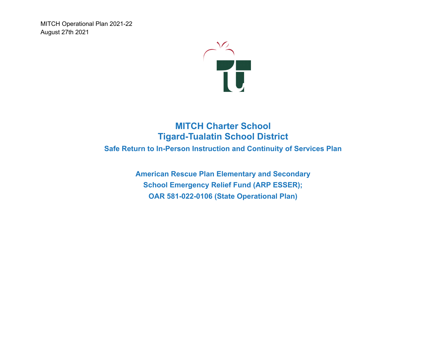

# **MITCH Charter School Tigard-Tualatin School District**

**Safe Return to In-Person Instruction and Continuity of Services Plan**

**American Rescue Plan Elementary and Secondary School Emergency Relief Fund (ARP ESSER); OAR 581-022-0106 (State Operational Plan)**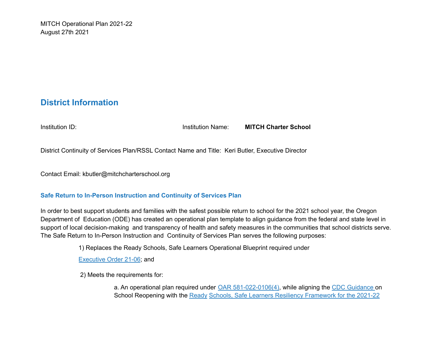# **District Information**

Institution ID: Institution Name: **MITCH Charter School**

District Continuity of Services Plan/RSSL Contact Name and Title: Keri Butler, Executive Director

Contact Email: kbutler@mitchcharterschool.org

#### **Safe Return to In-Person Instruction and Continuity of Services Plan**

In order to best support students and families with the safest possible return to school for the 2021 school year, the Oregon Department of Education (ODE) has created an operational plan template to align guidance from the federal and state level in support of local decision-making and transparency of health and safety measures in the communities that school districts serve. The Safe Return to In-Person Instruction and Continuity of Services Plan serves the following purposes:

1) Replaces the Ready Schools, Safe Learners Operational Blueprint required under

Executive Order 21-06; and

2) Meets the requirements for:

a. An operational plan required under OAR 581-022-0106(4), while aligning the CDC Guidance on School Reopening with the Ready Schools, Safe Learners Resiliency Framework for the 2021-22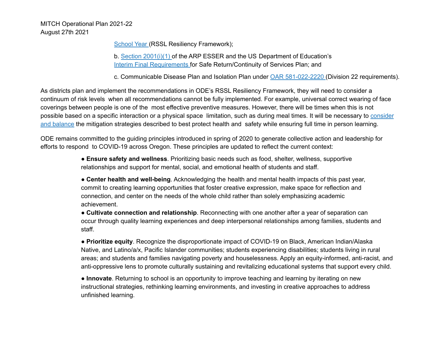School Year (RSSL Resiliency Framework);

b. Section 2001(i)(1) of the ARP ESSER and the US Department of Education's Interim Final Requirements for Safe Return/Continuity of Services Plan; and

c. Communicable Disease Plan and Isolation Plan under OAR 581-022-2220 (Division 22 requirements).

As districts plan and implement the recommendations in ODE's RSSL Resiliency Framework, they will need to consider a continuum of risk levels when all recommendations cannot be fully implemented. For example, universal correct wearing of face coverings between people is one of the most effective preventive measures. However, there will be times when this is not possible based on a specific interaction or a physical space limitation, such as during meal times. It will be necessary to consider and balance the mitigation strategies described to best protect health and safety while ensuring full time in person learning.

ODE remains committed to the guiding principles introduced in spring of 2020 to generate collective action and leadership for efforts to respond to COVID-19 across Oregon. These principles are updated to reflect the current context:

> ● **Ensure safety and wellness**. Prioritizing basic needs such as food, shelter, wellness, supportive relationships and support for mental, social, and emotional health of students and staff.

● **Center health and well-being**. Acknowledging the health and mental health impacts of this past year, commit to creating learning opportunities that foster creative expression, make space for reflection and connection, and center on the needs of the whole child rather than solely emphasizing academic achievement.

● **Cultivate connection and relationship**. Reconnecting with one another after a year of separation can occur through quality learning experiences and deep interpersonal relationships among families, students and staff.

● **Prioritize equity**. Recognize the disproportionate impact of COVID-19 on Black, American Indian/Alaska Native, and Latino/a/x, Pacific Islander communities; students experiencing disabilities; students living in rural areas; and students and families navigating poverty and houselessness. Apply an equity-informed, anti-racist, and anti-oppressive lens to promote culturally sustaining and revitalizing educational systems that support every child.

● **Innovate**. Returning to school is an opportunity to improve teaching and learning by iterating on new instructional strategies, rethinking learning environments, and investing in creative approaches to address unfinished learning.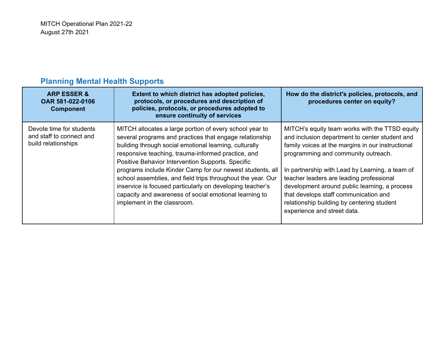| <b>ARP ESSER &amp;</b><br>OAR 581-022-0106<br><b>Component</b>              | Extent to which district has adopted policies,<br>protocols, or procedures and description of<br>policies, protocols, or procedures adopted to<br>ensure continuity of services                                                                                                                                                                                                                                                                                                                                                                                           | How do the district's policies, protocols, and<br>procedures center on equity?                                                                                                                                                                                                                                                                                                                                                                                     |
|-----------------------------------------------------------------------------|---------------------------------------------------------------------------------------------------------------------------------------------------------------------------------------------------------------------------------------------------------------------------------------------------------------------------------------------------------------------------------------------------------------------------------------------------------------------------------------------------------------------------------------------------------------------------|--------------------------------------------------------------------------------------------------------------------------------------------------------------------------------------------------------------------------------------------------------------------------------------------------------------------------------------------------------------------------------------------------------------------------------------------------------------------|
| Devote time for students<br>and staff to connect and<br>build relationships | MITCH allocates a large portion of every school year to<br>several programs and practices that engage relationship<br>building through social emotional learning, culturally<br>responsive teaching, trauma-informed practice, and<br>Positive Behavior Intervention Supports. Specific<br>programs include Kinder Camp for our newest students, all<br>school assemblies, and field trips throughout the year. Our<br>inservice is focused particularly on developing teacher's<br>capacity and awareness of social emotional learning to<br>implement in the classroom. | MITCH's equity team works with the TTSD equity<br>and inclusion department to center student and<br>family voices at the margins in our instructional<br>programming and community outreach.<br>In partnership with Lead by Learning, a team of<br>teacher leaders are leading professional<br>development around public learning, a process<br>that develops staff communication and<br>relationship building by centering student<br>experience and street data. |

# **Planning Mental Health Supports**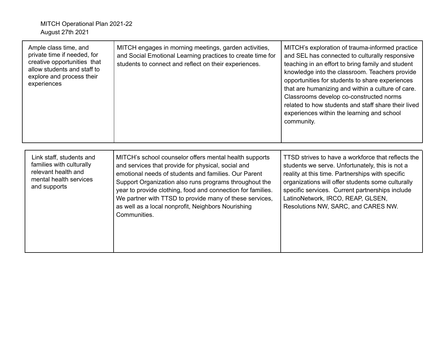| Ample class time, and<br>private time if needed, for<br>creative opportunities that<br>allow students and staff to<br>explore and process their<br>experiences | MITCH engages in morning meetings, garden activities,<br>and Social Emotional Learning practices to create time for<br>students to connect and reflect on their experiences.                                                                                                                                                                                                                                                   | MITCH's exploration of trauma-informed practice<br>and SEL has connected to culturally responsive<br>teaching in an effort to bring family and student<br>knowledge into the classroom. Teachers provide<br>opportunities for students to share experiences<br>that are humanizing and within a culture of care.<br>Classrooms develop co-constructed norms<br>related to how students and staff share their lived<br>experiences within the learning and school<br>community. |
|----------------------------------------------------------------------------------------------------------------------------------------------------------------|--------------------------------------------------------------------------------------------------------------------------------------------------------------------------------------------------------------------------------------------------------------------------------------------------------------------------------------------------------------------------------------------------------------------------------|--------------------------------------------------------------------------------------------------------------------------------------------------------------------------------------------------------------------------------------------------------------------------------------------------------------------------------------------------------------------------------------------------------------------------------------------------------------------------------|
| Link staff, students and<br>families with culturally<br>relevant health and<br>mental health services<br>and supports                                          | MITCH's school counselor offers mental health supports<br>and services that provide for physical, social and<br>emotional needs of students and families. Our Parent<br>Support Organization also runs programs throughout the<br>year to provide clothing, food and connection for families.<br>We partner with TTSD to provide many of these services,<br>as well as a local nonprofit, Neighbors Nourishing<br>Communities. | TTSD strives to have a workforce that reflects the<br>students we serve. Unfortunately, this is not a<br>reality at this time. Partnerships with specific<br>organizations will offer students some culturally<br>specific services. Current partnerships include<br>LatinoNetwork, IRCO, REAP, GLSEN,<br>Resolutions NW, SARC, and CARES NW.                                                                                                                                  |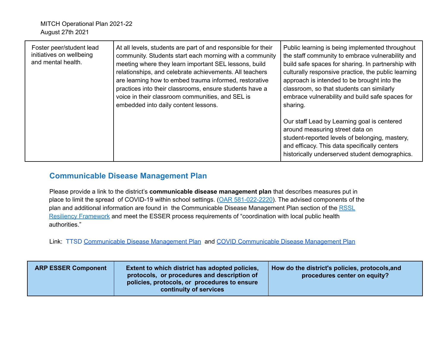| Foster peer/student lead<br>initiatives on wellbeing<br>and mental health. | At all levels, students are part of and responsible for their<br>community. Students start each morning with a community<br>meeting where they learn important SEL lessons, build<br>relationships, and celebrate achievements. All teachers<br>are learning how to embed trauma informed, restorative<br>practices into their classrooms, ensure students have a<br>voice in their classroom communities, and SEL is<br>embedded into daily content lessons. | Public learning is being implemented throughout<br>the staff community to embrace vulnerability and<br>build safe spaces for sharing. In partnership with<br>culturally responsive practice, the public learning<br>approach is intended to be brought into the<br>classroom, so that students can similarly<br>embrace vulnerability and build safe spaces for<br>sharing. |
|----------------------------------------------------------------------------|---------------------------------------------------------------------------------------------------------------------------------------------------------------------------------------------------------------------------------------------------------------------------------------------------------------------------------------------------------------------------------------------------------------------------------------------------------------|-----------------------------------------------------------------------------------------------------------------------------------------------------------------------------------------------------------------------------------------------------------------------------------------------------------------------------------------------------------------------------|
|                                                                            |                                                                                                                                                                                                                                                                                                                                                                                                                                                               | Our staff Lead by Learning goal is centered<br>around measuring street data on<br>student-reported levels of belonging, mastery,<br>and efficacy. This data specifically centers<br>historically underserved student demographics.                                                                                                                                          |

## **Communicable Disease Management Plan**

Please provide a link to the district's **communicable disease management plan** that describes measures put in place to limit the spread of COVID-19 within school settings. (OAR 581-022-2220). The advised components of the plan and additional information are found in the Communicable Disease Management Plan section of the RSSL Resiliency Framework and meet the ESSER process requirements of "coordination with local public health authorities."

Link: TTSD [Communicable](https://docs.google.com/document/d/1-8exO2zp4lEnu2cVtnvVJKt4tb5Jizh1Ebzg1a4ugUA/edit#) Disease Management Plan and COVID [Communicable](https://docs.google.com/document/d/1B5AXKwAHZdILTtf_S5sXdABHzgzkHjLc1vkhGvZ3wAs/edit) Disease Management Plan

| <b>ARP ESSER Component</b> | Extent to which district has adopted policies,<br>protocols, or procedures and description of<br>policies, protocols, or procedures to ensure<br><b>continuity of services</b> | How do the district's policies, protocols, and<br>procedures center on equity? |
|----------------------------|--------------------------------------------------------------------------------------------------------------------------------------------------------------------------------|--------------------------------------------------------------------------------|
|----------------------------|--------------------------------------------------------------------------------------------------------------------------------------------------------------------------------|--------------------------------------------------------------------------------|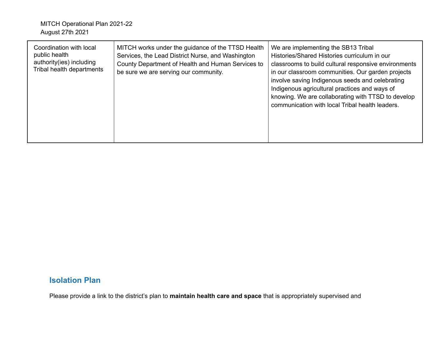| Coordination with local<br>public health<br>authority(ies) including<br>Tribal health departments | MITCH works under the guidance of the TTSD Health<br>Services, the Lead District Nurse, and Washington<br>County Department of Health and Human Services to<br>be sure we are serving our community. | We are implementing the SB13 Tribal<br>Histories/Shared Histories curriculum in our<br>classrooms to build cultural responsive environments<br>in our classroom communities. Our garden projects<br>involve saving Indigenous seeds and celebrating<br>Indigenous agricultural practices and ways of<br>knowing. We are collaborating with TTSD to develop<br>communication with local Tribal health leaders. |
|---------------------------------------------------------------------------------------------------|------------------------------------------------------------------------------------------------------------------------------------------------------------------------------------------------------|---------------------------------------------------------------------------------------------------------------------------------------------------------------------------------------------------------------------------------------------------------------------------------------------------------------------------------------------------------------------------------------------------------------|
|                                                                                                   |                                                                                                                                                                                                      |                                                                                                                                                                                                                                                                                                                                                                                                               |

## **Isolation Plan**

Please provide a link to the district's plan to **maintain health care and space** that is appropriately supervised and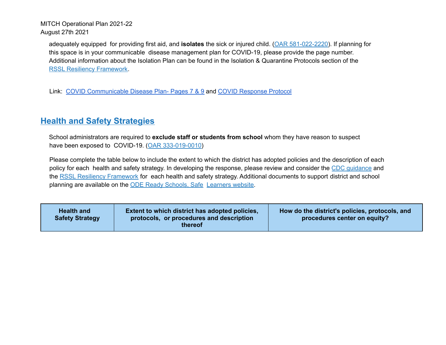adequately equipped for providing first aid, and **isolates** the sick or injured child. (OAR 581-022-2220). If planning for this space is in your communicable disease management plan for COVID-19, please provide the page number. Additional information about the Isolation Plan can be found in the Isolation & Quarantine Protocols section of the RSSL Resiliency Framework.

Link: COVID [Communicable](https://docs.google.com/document/d/1B5AXKwAHZdILTtf_S5sXdABHzgzkHjLc1vkhGvZ3wAs/edit) Disease Plan- Pages 7 & 9 and COVID [Response](https://docs.google.com/document/d/1jqIHVAWBOUAUfzPjgUU4zeeaIVihGPIGDzTxqP1xa7w/edit) Protocol

# **Health and Safety Strategies**

School administrators are required to **exclude staff or students from school** whom they have reason to suspect have been exposed to COVID-19. (OAR 333-019-0010)

Please complete the table below to include the extent to which the district has adopted policies and the description of each policy for each health and safety strategy. In developing the response, please review and consider the CDC quidance and the RSSL Resiliency Framework for each health and safety strategy. Additional documents to support district and school planning are available on the ODE Ready Schools, Safe Learners website.

| <b>Health and</b><br><b>Safety Strategy</b> | Extent to which district has adopted policies,<br>protocols, or procedures and description<br>thereof | How do the district's policies, protocols, and<br>procedures center on equity? |
|---------------------------------------------|-------------------------------------------------------------------------------------------------------|--------------------------------------------------------------------------------|
|---------------------------------------------|-------------------------------------------------------------------------------------------------------|--------------------------------------------------------------------------------|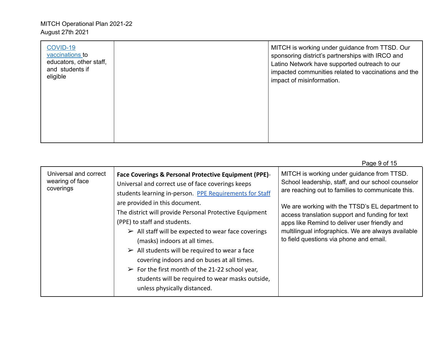| <b>COVID-19</b><br>vaccinations to<br>educators, other staff,<br>and students if<br>eligible | MITCH is working under guidance from TTSD. Our<br>sponsoring district's partnerships with IRCO and<br>Latino Network have supported outreach to our<br>impacted communities related to vaccinations and the<br>impact of misinformation. |
|----------------------------------------------------------------------------------------------|------------------------------------------------------------------------------------------------------------------------------------------------------------------------------------------------------------------------------------------|
|                                                                                              |                                                                                                                                                                                                                                          |

|                                                       |                                                                                                                                                                                                                                                                                                                                                                                                                                                                                                                                                                                                                                                                                 | Page 9 of 15                                                                                                                                                                                                                                                                                                                                                                                                  |
|-------------------------------------------------------|---------------------------------------------------------------------------------------------------------------------------------------------------------------------------------------------------------------------------------------------------------------------------------------------------------------------------------------------------------------------------------------------------------------------------------------------------------------------------------------------------------------------------------------------------------------------------------------------------------------------------------------------------------------------------------|---------------------------------------------------------------------------------------------------------------------------------------------------------------------------------------------------------------------------------------------------------------------------------------------------------------------------------------------------------------------------------------------------------------|
| Universal and correct<br>wearing of face<br>coverings | Face Coverings & Personal Protective Equipment (PPE)-<br>Universal and correct use of face coverings keeps<br>students learning in-person. PPE Requirements for Staff<br>are provided in this document.<br>The district will provide Personal Protective Equipment<br>(PPE) to staff and students.<br>$\triangleright$ All staff will be expected to wear face coverings<br>(masks) indoors at all times.<br>$\triangleright$ All students will be required to wear a face<br>covering indoors and on buses at all times.<br>$\triangleright$ For the first month of the 21-22 school year,<br>students will be required to wear masks outside,<br>unless physically distanced. | MITCH is working under guidance from TTSD.<br>School leadership, staff, and our school counselor<br>are reaching out to families to communicate this.<br>We are working with the TTSD's EL department to<br>access translation support and funding for text<br>apps like Remind to deliver user friendly and<br>multilingual infographics. We are always available<br>to field questions via phone and email. |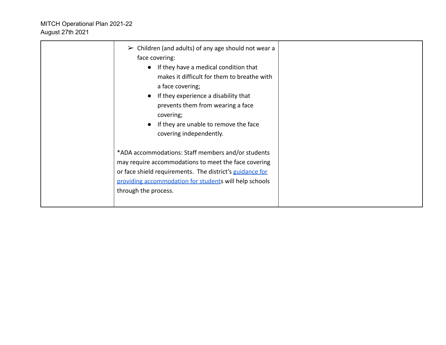| $\triangleright$ Children (and adults) of any age should not wear a<br>face covering:<br>If they have a medical condition that<br>$\bullet$<br>makes it difficult for them to breathe with<br>a face covering;<br>If they experience a disability that<br>$\bullet$<br>prevents them from wearing a face<br>covering;<br>If they are unable to remove the face<br>covering independently. |  |
|-------------------------------------------------------------------------------------------------------------------------------------------------------------------------------------------------------------------------------------------------------------------------------------------------------------------------------------------------------------------------------------------|--|
| *ADA accommodations: Staff members and/or students<br>may require accommodations to meet the face covering<br>or face shield requirements. The district's guidance for<br>providing accommodation for students will help schools<br>through the process.                                                                                                                                  |  |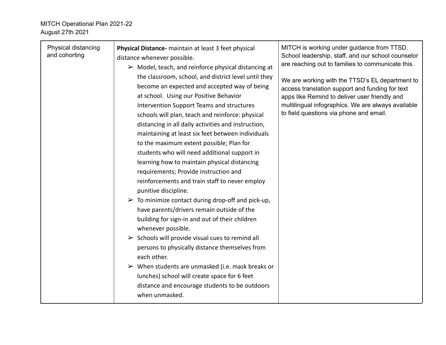| Physical distancing<br>and cohorting | Physical Distance- maintain at least 3 feet physical<br>distance whenever possible.<br>$\triangleright$ Model, teach, and reinforce physical distancing at<br>the classroom, school, and district level until they<br>become an expected and accepted way of being<br>at school. Using our Positive Behavior<br>Intervention Support Teams and structures<br>schools will plan, teach and reinforce: physical<br>distancing in all daily activities and instruction,<br>maintaining at least six feet between individuals<br>to the maximum extent possible; Plan for<br>students who will need additional support in<br>learning how to maintain physical distancing<br>requirements; Provide instruction and<br>reinforcements and train staff to never employ<br>punitive discipline.<br>$\triangleright$ To minimize contact during drop-off and pick-up,<br>have parents/drivers remain outside of the<br>building for sign-in and out of their children<br>whenever possible.<br>$\triangleright$ Schools will provide visual cues to remind all<br>persons to physically distance themselves from<br>each other.<br>$\triangleright$ When students are unmasked (i.e. mask breaks or<br>lunches) school will create space for 6 feet<br>distance and encourage students to be outdoors<br>when unmasked. | MITCH is working under guidance from TTSD.<br>School leadership, staff, and our school counselor<br>are reaching out to families to communicate this.<br>We are working with the TTSD's EL department to<br>access translation support and funding for text<br>apps like Remind to deliver user friendly and<br>multilingual infographics. We are always available<br>to field questions via phone and email. |
|--------------------------------------|-----------------------------------------------------------------------------------------------------------------------------------------------------------------------------------------------------------------------------------------------------------------------------------------------------------------------------------------------------------------------------------------------------------------------------------------------------------------------------------------------------------------------------------------------------------------------------------------------------------------------------------------------------------------------------------------------------------------------------------------------------------------------------------------------------------------------------------------------------------------------------------------------------------------------------------------------------------------------------------------------------------------------------------------------------------------------------------------------------------------------------------------------------------------------------------------------------------------------------------------------------------------------------------------------------------------|---------------------------------------------------------------------------------------------------------------------------------------------------------------------------------------------------------------------------------------------------------------------------------------------------------------------------------------------------------------------------------------------------------------|
|--------------------------------------|-----------------------------------------------------------------------------------------------------------------------------------------------------------------------------------------------------------------------------------------------------------------------------------------------------------------------------------------------------------------------------------------------------------------------------------------------------------------------------------------------------------------------------------------------------------------------------------------------------------------------------------------------------------------------------------------------------------------------------------------------------------------------------------------------------------------------------------------------------------------------------------------------------------------------------------------------------------------------------------------------------------------------------------------------------------------------------------------------------------------------------------------------------------------------------------------------------------------------------------------------------------------------------------------------------------------|---------------------------------------------------------------------------------------------------------------------------------------------------------------------------------------------------------------------------------------------------------------------------------------------------------------------------------------------------------------------------------------------------------------|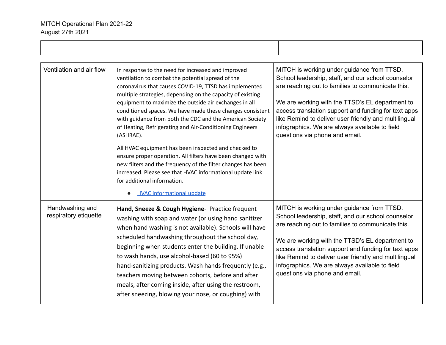| Ventilation and air flow                 | In response to the need for increased and improved<br>ventilation to combat the potential spread of the<br>coronavirus that causes COVID-19, TTSD has implemented<br>multiple strategies, depending on the capacity of existing<br>equipment to maximize the outside air exchanges in all<br>conditioned spaces. We have made these changes consistent<br>with guidance from both the CDC and the American Society<br>of Heating, Refrigerating and Air-Conditioning Engineers<br>(ASHRAE).<br>All HVAC equipment has been inspected and checked to<br>ensure proper operation. All filters have been changed with<br>new filters and the frequency of the filter changes has been<br>increased. Please see that HVAC informational update link<br>for additional information.<br><b>HVAC informational update</b> | MITCH is working under guidance from TTSD.<br>School leadership, staff, and our school counselor<br>are reaching out to families to communicate this.<br>We are working with the TTSD's EL department to<br>access translation support and funding for text apps<br>like Remind to deliver user friendly and multilingual<br>infographics. We are always available to field<br>questions via phone and email. |
|------------------------------------------|--------------------------------------------------------------------------------------------------------------------------------------------------------------------------------------------------------------------------------------------------------------------------------------------------------------------------------------------------------------------------------------------------------------------------------------------------------------------------------------------------------------------------------------------------------------------------------------------------------------------------------------------------------------------------------------------------------------------------------------------------------------------------------------------------------------------|---------------------------------------------------------------------------------------------------------------------------------------------------------------------------------------------------------------------------------------------------------------------------------------------------------------------------------------------------------------------------------------------------------------|
| Handwashing and<br>respiratory etiquette | Hand, Sneeze & Cough Hygiene- Practice frequent<br>washing with soap and water (or using hand sanitizer<br>when hand washing is not available). Schools will have<br>scheduled handwashing throughout the school day,<br>beginning when students enter the building. If unable<br>to wash hands, use alcohol-based (60 to 95%)<br>hand-sanitizing products. Wash hands frequently (e.g.,<br>teachers moving between cohorts, before and after<br>meals, after coming inside, after using the restroom,<br>after sneezing, blowing your nose, or coughing) with                                                                                                                                                                                                                                                     | MITCH is working under guidance from TTSD.<br>School leadership, staff, and our school counselor<br>are reaching out to families to communicate this.<br>We are working with the TTSD's EL department to<br>access translation support and funding for text apps<br>like Remind to deliver user friendly and multilingual<br>infographics. We are always available to field<br>questions via phone and email. |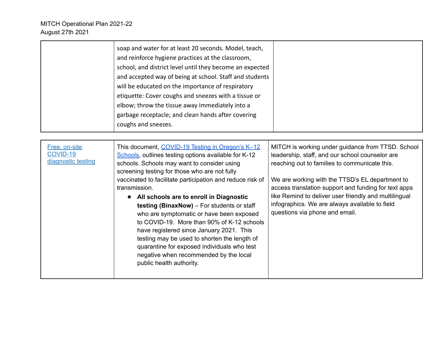| soap and water for at least 20 seconds. Model, teach,    |
|----------------------------------------------------------|
| and reinforce hygiene practices at the classroom,        |
| school, and district level until they become an expected |
| and accepted way of being at school. Staff and students  |
| will be educated on the importance of respiratory        |
| etiquette: Cover coughs and sneezes with a tissue or     |
| elbow; throw the tissue away immediately into a          |
| garbage receptacle; and clean hands after covering       |
| coughs and sneezes.                                      |

| Free, on-site<br>COVID-19<br>diagnostic testing | This document, COVID-19 Testing in Oregon's K-12<br>Schools, outlines testing options available for K-12<br>schools. Schools may want to consider using<br>screening testing for those who are not fully<br>vaccinated to facilitate participation and reduce risk of<br>transmission.<br>All schools are to enroll in Diagnostic<br>testing (BinaxNow) – For students or staff<br>who are symptomatic or have been exposed<br>to COVID-19. More than 90% of K-12 schools<br>have registered since January 2021. This<br>testing may be used to shorten the length of<br>quarantine for exposed individuals who test<br>negative when recommended by the local<br>public health authority. | MITCH is working under guidance from TTSD. School<br>leadership, staff, and our school counselor are<br>reaching out to families to communicate this.<br>We are working with the TTSD's EL department to<br>access translation support and funding for text apps<br>like Remind to deliver user friendly and multilingual<br>infographics. We are always available to field<br>questions via phone and email. |
|-------------------------------------------------|--------------------------------------------------------------------------------------------------------------------------------------------------------------------------------------------------------------------------------------------------------------------------------------------------------------------------------------------------------------------------------------------------------------------------------------------------------------------------------------------------------------------------------------------------------------------------------------------------------------------------------------------------------------------------------------------|---------------------------------------------------------------------------------------------------------------------------------------------------------------------------------------------------------------------------------------------------------------------------------------------------------------------------------------------------------------------------------------------------------------|
|-------------------------------------------------|--------------------------------------------------------------------------------------------------------------------------------------------------------------------------------------------------------------------------------------------------------------------------------------------------------------------------------------------------------------------------------------------------------------------------------------------------------------------------------------------------------------------------------------------------------------------------------------------------------------------------------------------------------------------------------------------|---------------------------------------------------------------------------------------------------------------------------------------------------------------------------------------------------------------------------------------------------------------------------------------------------------------------------------------------------------------------------------------------------------------|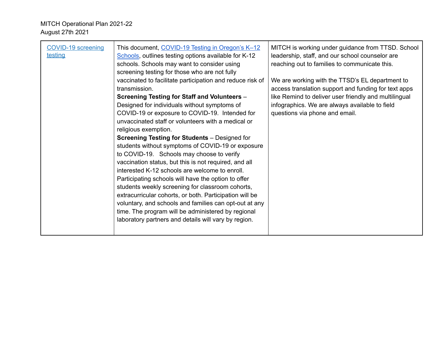| <b>COVID-19 screening</b><br><u>testing</u> | This document, COVID-19 Testing in Oregon's K-12<br>Schools, outlines testing options available for K-12<br>schools. Schools may want to consider using<br>screening testing for those who are not fully<br>vaccinated to facilitate participation and reduce risk of<br>transmission.<br>Screening Testing for Staff and Volunteers -<br>Designed for individuals without symptoms of<br>COVID-19 or exposure to COVID-19. Intended for<br>unvaccinated staff or volunteers with a medical or<br>religious exemption.<br><b>Screening Testing for Students</b> – Designed for<br>students without symptoms of COVID-19 or exposure<br>to COVID-19. Schools may choose to verify<br>vaccination status, but this is not required, and all<br>interested K-12 schools are welcome to enroll.<br>Participating schools will have the option to offer<br>students weekly screening for classroom cohorts,<br>extracurricular cohorts, or both. Participation will be<br>voluntary, and schools and families can opt-out at any<br>time. The program will be administered by regional<br>laboratory partners and details will vary by region. | MITCH is working under guidance from TTSD. School<br>leadership, staff, and our school counselor are<br>reaching out to families to communicate this.<br>We are working with the TTSD's EL department to<br>access translation support and funding for text apps<br>like Remind to deliver user friendly and multilingual<br>infographics. We are always available to field<br>questions via phone and email. |
|---------------------------------------------|-------------------------------------------------------------------------------------------------------------------------------------------------------------------------------------------------------------------------------------------------------------------------------------------------------------------------------------------------------------------------------------------------------------------------------------------------------------------------------------------------------------------------------------------------------------------------------------------------------------------------------------------------------------------------------------------------------------------------------------------------------------------------------------------------------------------------------------------------------------------------------------------------------------------------------------------------------------------------------------------------------------------------------------------------------------------------------------------------------------------------------------------|---------------------------------------------------------------------------------------------------------------------------------------------------------------------------------------------------------------------------------------------------------------------------------------------------------------------------------------------------------------------------------------------------------------|
|---------------------------------------------|-------------------------------------------------------------------------------------------------------------------------------------------------------------------------------------------------------------------------------------------------------------------------------------------------------------------------------------------------------------------------------------------------------------------------------------------------------------------------------------------------------------------------------------------------------------------------------------------------------------------------------------------------------------------------------------------------------------------------------------------------------------------------------------------------------------------------------------------------------------------------------------------------------------------------------------------------------------------------------------------------------------------------------------------------------------------------------------------------------------------------------------------|---------------------------------------------------------------------------------------------------------------------------------------------------------------------------------------------------------------------------------------------------------------------------------------------------------------------------------------------------------------------------------------------------------------|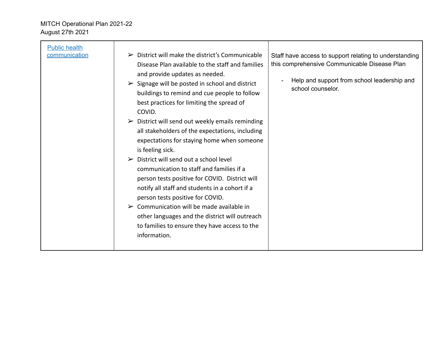| $\triangleright$ District will make the district's Communicable<br>communication<br>this comprehensive Communicable Disease Plan<br>Disease Plan available to the staff and families                                                                                                                                                                                                                                                                                                                                                                                                                                                                                                                                                                                                                            |                      |                                |                                                                                                       |
|-----------------------------------------------------------------------------------------------------------------------------------------------------------------------------------------------------------------------------------------------------------------------------------------------------------------------------------------------------------------------------------------------------------------------------------------------------------------------------------------------------------------------------------------------------------------------------------------------------------------------------------------------------------------------------------------------------------------------------------------------------------------------------------------------------------------|----------------------|--------------------------------|-------------------------------------------------------------------------------------------------------|
| $\triangleright$ Signage will be posted in school and district<br>school counselor.<br>buildings to remind and cue people to follow<br>best practices for limiting the spread of<br>COVID.<br>$\triangleright$ District will send out weekly emails reminding<br>all stakeholders of the expectations, including<br>expectations for staying home when someone<br>is feeling sick.<br>$\triangleright$ District will send out a school level<br>communication to staff and families if a<br>person tests positive for COVID. District will<br>notify all staff and students in a cohort if a<br>person tests positive for COVID.<br>$\triangleright$ Communication will be made available in<br>other languages and the district will outreach<br>to families to ensure they have access to the<br>information. | <b>Public health</b> | and provide updates as needed. | Staff have access to support relating to understanding<br>Help and support from school leadership and |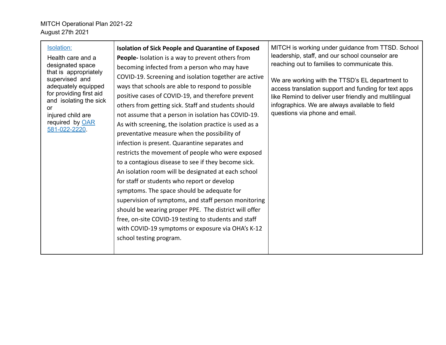| Isolation:<br>Health care and a<br>designated space<br>that is appropriately<br>supervised and<br>adequately equipped<br>for providing first aid<br>and isolating the sick<br>or<br>injured child are<br>required by OAR<br>581-022-2220 | <b>Isolation of Sick People and Quarantine of Exposed</b><br>People-Isolation is a way to prevent others from<br>becoming infected from a person who may have<br>COVID-19. Screening and isolation together are active<br>ways that schools are able to respond to possible<br>positive cases of COVID-19, and therefore prevent<br>others from getting sick. Staff and students should<br>not assume that a person in isolation has COVID-19.<br>As with screening, the isolation practice is used as a<br>preventative measure when the possibility of<br>infection is present. Quarantine separates and<br>restricts the movement of people who were exposed<br>to a contagious disease to see if they become sick.<br>An isolation room will be designated at each school<br>for staff or students who report or develop<br>symptoms. The space should be adequate for<br>supervision of symptoms, and staff person monitoring<br>should be wearing proper PPE. The district will offer<br>free, on-site COVID-19 testing to students and staff<br>with COVID-19 symptoms or exposure via OHA's K-12<br>school testing program. | MITCH is working under guidance from TTSD. School<br>leadership, staff, and our school counselor are<br>reaching out to families to communicate this.<br>We are working with the TTSD's EL department to<br>access translation support and funding for text apps<br>like Remind to deliver user friendly and multilingual<br>infographics. We are always available to field<br>questions via phone and email. |
|------------------------------------------------------------------------------------------------------------------------------------------------------------------------------------------------------------------------------------------|-------------------------------------------------------------------------------------------------------------------------------------------------------------------------------------------------------------------------------------------------------------------------------------------------------------------------------------------------------------------------------------------------------------------------------------------------------------------------------------------------------------------------------------------------------------------------------------------------------------------------------------------------------------------------------------------------------------------------------------------------------------------------------------------------------------------------------------------------------------------------------------------------------------------------------------------------------------------------------------------------------------------------------------------------------------------------------------------------------------------------------------|---------------------------------------------------------------------------------------------------------------------------------------------------------------------------------------------------------------------------------------------------------------------------------------------------------------------------------------------------------------------------------------------------------------|
|------------------------------------------------------------------------------------------------------------------------------------------------------------------------------------------------------------------------------------------|-------------------------------------------------------------------------------------------------------------------------------------------------------------------------------------------------------------------------------------------------------------------------------------------------------------------------------------------------------------------------------------------------------------------------------------------------------------------------------------------------------------------------------------------------------------------------------------------------------------------------------------------------------------------------------------------------------------------------------------------------------------------------------------------------------------------------------------------------------------------------------------------------------------------------------------------------------------------------------------------------------------------------------------------------------------------------------------------------------------------------------------|---------------------------------------------------------------------------------------------------------------------------------------------------------------------------------------------------------------------------------------------------------------------------------------------------------------------------------------------------------------------------------------------------------------|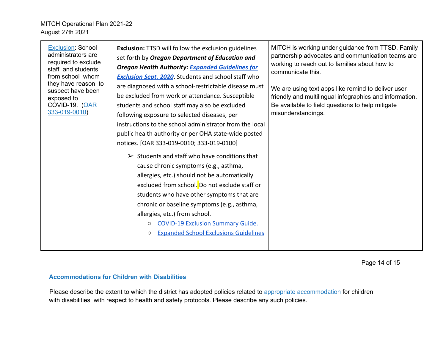| <b>Exclusion: School</b><br>administrators are<br>required to exclude<br>staff and students<br>from school whom<br>they have reason to<br>suspect have been<br>exposed to<br>COVID-19. (OAR<br>333-019-0010) | <b>Exclusion: TTSD will follow the exclusion guidelines</b><br>set forth by Oregon Department of Education and<br><b>Oregon Health Authority: Expanded Guidelines for</b><br><b>Exclusion Sept. 2020</b> . Students and school staff who<br>are diagnosed with a school-restrictable disease must<br>be excluded from work or attendance. Susceptible<br>students and school staff may also be excluded<br>following exposure to selected diseases, per<br>instructions to the school administrator from the local<br>public health authority or per OHA state-wide posted<br>notices. [OAR 333-019-0010; 333-019-0100] | MITCH is working under guidance from TTSD. Family<br>partnership advocates and communication teams are<br>working to reach out to families about how to<br>communicate this.<br>We are using text apps like remind to deliver user<br>friendly and multilingual infographics and information.<br>Be available to field questions to help mitigate<br>misunderstandings. |
|--------------------------------------------------------------------------------------------------------------------------------------------------------------------------------------------------------------|-------------------------------------------------------------------------------------------------------------------------------------------------------------------------------------------------------------------------------------------------------------------------------------------------------------------------------------------------------------------------------------------------------------------------------------------------------------------------------------------------------------------------------------------------------------------------------------------------------------------------|-------------------------------------------------------------------------------------------------------------------------------------------------------------------------------------------------------------------------------------------------------------------------------------------------------------------------------------------------------------------------|
|                                                                                                                                                                                                              | Students and staff who have conditions that<br>➤<br>cause chronic symptoms (e.g., asthma,<br>allergies, etc.) should not be automatically<br>excluded from school. Do not exclude staff or<br>students who have other symptoms that are<br>chronic or baseline symptoms (e.g., asthma,<br>allergies, etc.) from school.<br><b>COVID-19 Exclusion Summary Guide.</b><br>$\circ$<br><b>Expanded School Exclusions Guidelines</b><br>$\circ$                                                                                                                                                                               |                                                                                                                                                                                                                                                                                                                                                                         |

Page 14 of 15

### **Accommodations for Children with Disabilities**

Please describe the extent to which the district has adopted policies related to appropriate accommodation for children with disabilities with respect to health and safety protocols. Please describe any such policies.